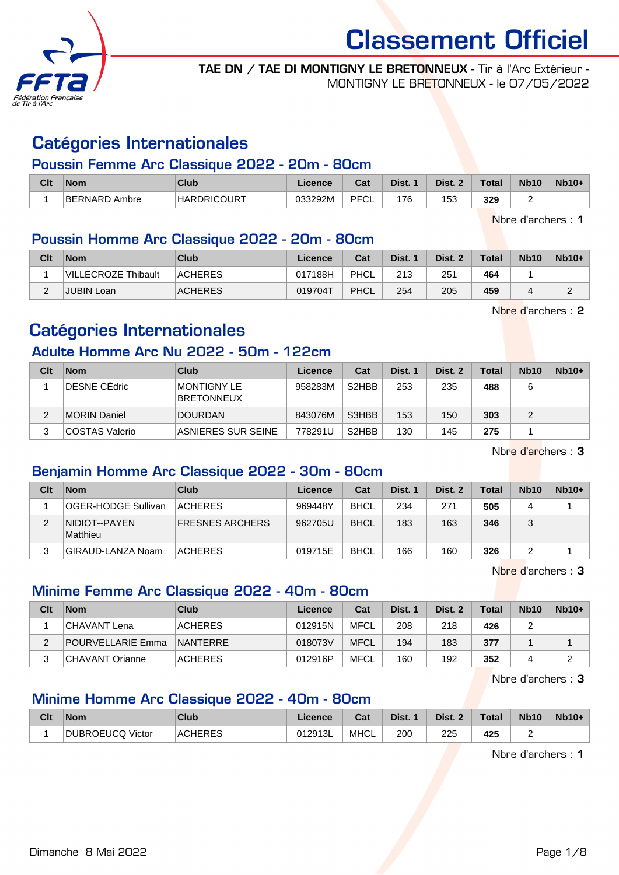

TAE DN / TAE DI MONTIGNY LE BRETONNEUX - Tir à l'Arc Extérieur - MONTIGNY LE BRETONNEUX - le 07/05/2022

### Catégories Internationales

#### Poussin Femme Arc Classique 2022 - 20m - 80cm

| Clt | <b>Nom</b>           | Club               | <b>Licence</b> | r.,<br>uai | Dist. | Dist. | Total | <b>Nb10</b> | $Nb10+$ |
|-----|----------------------|--------------------|----------------|------------|-------|-------|-------|-------------|---------|
|     | 'BERNARD.<br>∖ Ambre | <b>HARDRICOURT</b> | 033292M        | PFCL       | 76    | 153   | 329   |             |         |

Nbre d'archers : 1

#### Poussin Homme Arc Classique 2022 - 20m - 80cm

| Clt | <b>Nom</b>          | Club           | Licence | Cat  | Dist. 1 | Dist. 2 | <b>Total</b> | <b>Nb10</b> | $Nb10+$ |
|-----|---------------------|----------------|---------|------|---------|---------|--------------|-------------|---------|
|     | VILLECROZE Thibault | <b>ACHERES</b> | 017188H | PHCL | 213     | 251     | 464          |             |         |
|     | JUBIN Loan          | <b>ACHERES</b> | 019704T | PHCL | 254     | 205     | 459          |             |         |

Nbre d'archers : 2

## Catégories Internationales

### Adulte Homme Arc Nu 2022 - 50m - 122cm

| Clt | <b>Nom</b>            | <b>Club</b>                             | Licence | Cat                | Dist. 1 | Dist. 2 | <b>Total</b> | <b>Nb10</b> | $Nb10+$ |
|-----|-----------------------|-----------------------------------------|---------|--------------------|---------|---------|--------------|-------------|---------|
|     | <b>DESNE CEdric</b>   | <b>MONTIGNY LE</b><br><b>BRETONNEUX</b> | 958283M | S <sub>2</sub> HBB | 253     | 235     | 488          |             |         |
|     | MORIN Daniel          | <b>DOURDAN</b>                          | 843076M | S3HBB              | 153     | 150     | 303          |             |         |
| 3   | <b>COSTAS Valerio</b> | ASNIERES SUR SEINE                      | 778291U | S <sub>2</sub> HBB | 130     | 145     | 275          |             |         |

Nbre d'archers : 3

#### Benjamin Homme Arc Classique 2022 - 30m - 80cm

| Clt | <b>Nom</b>                        | Club                   | Licence | Cat         | Dist. 1 | Dist. 2 | Total | <b>Nb10</b> | $Nb10+$ |
|-----|-----------------------------------|------------------------|---------|-------------|---------|---------|-------|-------------|---------|
|     | OGER-HODGE Sullivan               | <b>ACHERES</b>         | 969448Y | <b>BHCL</b> | 234     | 271     | 505   |             |         |
| 2   | INIDIOT--PAYEN<br><b>Matthieu</b> | <b>FRESNES ARCHERS</b> | 962705U | <b>BHCL</b> | 183     | 163     | 346   | ບ           |         |
|     | GIRAUD-LANZA Noam                 | <b>ACHERES</b>         | 019715E | <b>BHCL</b> | 166     | 160     | 326   |             |         |

Nbre d'archers : 3

#### Minime Femme Arc Classique 2022 - 40m - 80cm

| Clt | <b>Nom</b>        | Club            | Licence | Cat  | Dist. 1 | Dist. 2 | Total | <b>Nb10</b> | $Nb10+$ |
|-----|-------------------|-----------------|---------|------|---------|---------|-------|-------------|---------|
|     | CHAVANT Lena      | ACHERES         | 012915N | MFCL | 208     | 218     | 426   |             |         |
| ົ   | POURVELLARIE Emma | <b>NANTERRE</b> | 018073V | MFCL | 194     | 183     | 377   |             |         |
|     | CHAVANT Orianne   | ACHERES         | 012916P | MFCL | 160     | 192     | 352   |             |         |

Nbre d'archers : 3

#### Minime Homme Arc Classique 2022 - 40m - 80cm

| Clt | <b>Nom</b>       | <b>Club</b> | Licence | Cat  | Dist. | Dist. 2   | <b>Total</b> | <b>Nb10</b> | <b>Nb10+</b> |
|-----|------------------|-------------|---------|------|-------|-----------|--------------|-------------|--------------|
|     | DUBROEUCQ Victor | ACHERES     | 012913L | MHCL | 200   | 225<br>__ | 425          |             |              |

Nbre d'archers : 1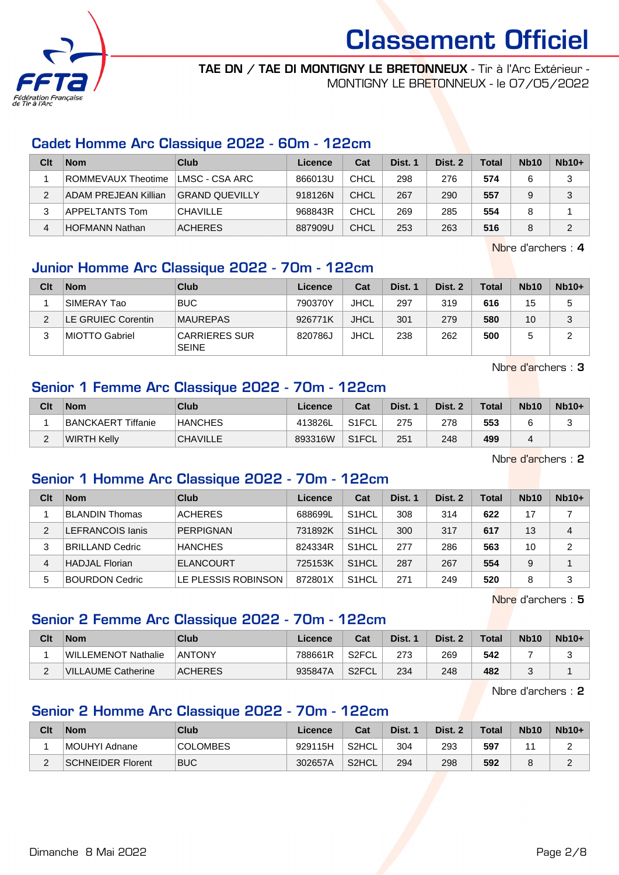

#### TAE DN / TAE DI MONTIGNY LE BRETONNEUX - Tir à l'Arc Extérieur - MONTIGNY LE BRETONNEUX - le 07/05/2022

#### Cadet Homme Arc Classique 2022 - 60m - 122cm

| Clt | <b>Nom</b>            | Club                  | Licence | Cat         | Dist. 1 | Dist. 2 | <b>Total</b> | <b>Nb10</b> | $Nb10+$ |
|-----|-----------------------|-----------------------|---------|-------------|---------|---------|--------------|-------------|---------|
|     | ROMMEVAUX Theotime    | ⊺LMSC - CSA ARC       | 866013U | <b>CHCL</b> | 298     | 276     | 574          |             | 3       |
| っ   | ADAM PREJEAN Killian  | <b>GRAND QUEVILLY</b> | 918126N | <b>CHCL</b> | 267     | 290     | 557          |             | 3       |
|     | APPELTANTS Tom        | <b>CHAVILLE</b>       | 968843R | CHCL        | 269     | 285     | 554          |             |         |
| 4   | <b>HOFMANN Nathan</b> | <b>ACHERES</b>        | 887909U | CHCL        | 253     | 263     | 516          |             | 2       |

Nbre d'archers : 4

### Junior Homme Arc Classique 2022 - 70m - 122cm

| Clt | <b>Nom</b>         | Club                                 | Licence | Cat         | Dist. 1 | Dist. 2 | <b>Total</b> | <b>Nb10</b> | $Nb10+$ |
|-----|--------------------|--------------------------------------|---------|-------------|---------|---------|--------------|-------------|---------|
|     | SIMERAY Tao        | <b>BUC</b>                           | 790370Y | <b>JHCL</b> | 297     | 319     | 616          | 15          | 5       |
| ◠   | LE GRUIEC Corentin | <b>MAUREPAS</b>                      | 926771K | <b>JHCL</b> | 301     | 279     | 580          | 10          | 3       |
| 3   | MIOTTO Gabriel     | <b>CARRIERES SUR</b><br><b>SEINE</b> | 820786J | <b>JHCL</b> | 238     | 262     | 500          | 5           | ⌒       |

Nbre d'archers : 3

#### Senior 1 Femme Arc Classique 2022 - 70m - 122cm

| Clt | <b>Nom</b>         | Club            | Licence | Cat                | Dist. 1 | Dist. 2 | <b>Total</b> | <b>Nb10</b> | $Nb10+$ |
|-----|--------------------|-----------------|---------|--------------------|---------|---------|--------------|-------------|---------|
|     | BANCKAERT Tiffanie | <b>HANCHES</b>  | 413826L | S <sub>1</sub> FCL | 275     | 278     | 553          |             |         |
|     | WIRTH Kelly        | <b>CHAVILLE</b> | 893316W | S <sub>1</sub> FCL | 251     | 248     | 499          |             |         |

Nbre d'archers : 2

#### Senior 1 Homme Arc Classique 2022 - 70m - 122cm

| Clt | <b>Nom</b>              | Club                | Licence | Cat                | Dist. 1 | Dist. 2 | Total | <b>Nb10</b> | $Nb10+$        |
|-----|-------------------------|---------------------|---------|--------------------|---------|---------|-------|-------------|----------------|
|     | <b>BLANDIN Thomas</b>   | <b>ACHERES</b>      | 688699L | S <sub>1</sub> HCL | 308     | 314     | 622   | 17          |                |
| 2   | <b>LEFRANCOIS lanis</b> | <b>PERPIGNAN</b>    | 731892K | S <sub>1</sub> HCL | 300     | 317     | 617   | 13          | 4              |
| 3   | <b>BRILLAND Cedric</b>  | <b>HANCHES</b>      | 824334R | S <sub>1</sub> HCL | 277     | 286     | 563   | 10          | $\overline{2}$ |
| 4   | HADJAL Florian          | <b>ELANCOURT</b>    | 725153K | S <sub>1</sub> HCL | 287     | 267     | 554   | 9           |                |
| 5   | <b>BOURDON Cedric</b>   | LE PLESSIS ROBINSON | 872801X | S <sub>1</sub> HCL | 271     | 249     | 520   | 8           | 3              |

Nbre d'archers : 5

#### Senior 2 Femme Arc Classique 2022 - 70m - 122cm

| Clt | <b>Nom</b>          | Club           | Licence | Cat   | Dist. 1 | Dist. 2 | <b>Total</b> | <b>Nb10</b> | $Nb10+$ |
|-----|---------------------|----------------|---------|-------|---------|---------|--------------|-------------|---------|
|     | WILLEMENOT Nathalie | <b>ANTONY</b>  | 788661R | S2FCL | 273     | 269     | 542          |             |         |
| -   | VILLAUME Catherine  | <b>ACHERES</b> | 935847A | S2FCL | 234     | 248     | 482          |             |         |

Nbre d'archers : 2

#### Senior 2 Homme Arc Classique 2022 - 70m - 122cm

| Clt | <b>Nom</b>               | Club            | Licence | Cat                | Dist. | Dist. 2 | <b>Total</b> | <b>Nb10</b> | $Nb10+$ |
|-----|--------------------------|-----------------|---------|--------------------|-------|---------|--------------|-------------|---------|
|     | MOUHYI Adnane            | <b>COLOMBES</b> | 929115H | S2HCL              | 304   | 293     | 597          | л           |         |
| _   | <b>SCHNEIDER Florent</b> | <b>BUC</b>      | 302657A | S <sub>2</sub> HCL | 294   | 298     | 592          |             |         |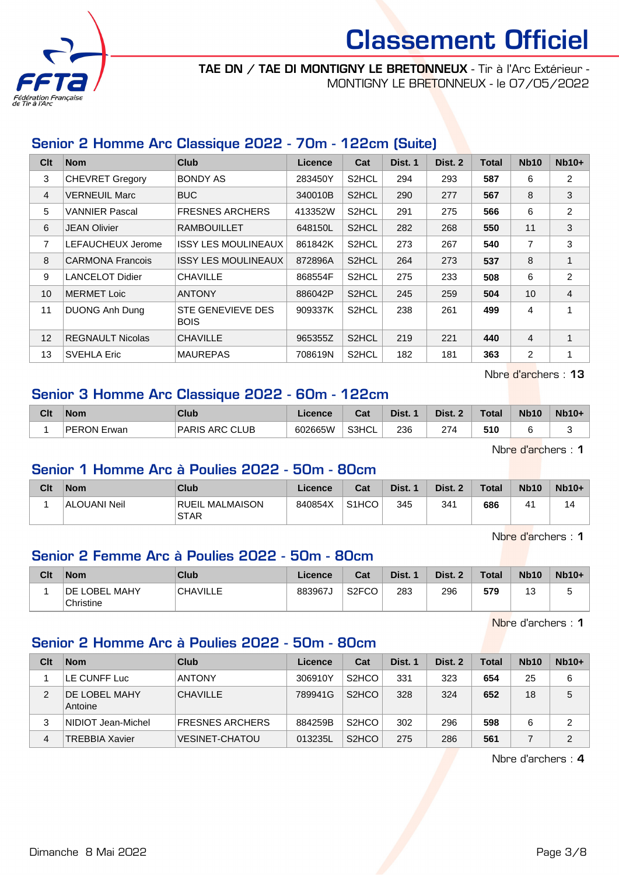

#### TAE DN / TAE DI MONTIGNY LE BRETONNEUX - Tir à l'Arc Extérieur - MONTIGNY LE BRETONNEUX - le 07/05/2022

### Senior 2 Homme Arc Classique 2022 - 70m - 122cm (Suite)

| Clt            | <b>Nom</b>              | <b>Club</b>                             | <b>Licence</b> | Cat                | Dist. 1 | Dist. 2 | <b>Total</b> | <b>Nb10</b>    | $Nb10+$        |
|----------------|-------------------------|-----------------------------------------|----------------|--------------------|---------|---------|--------------|----------------|----------------|
| 3              | <b>CHEVRET Gregory</b>  | <b>BONDY AS</b>                         | 283450Y        | S <sub>2</sub> HCL | 294     | 293     | 587          | 6              | 2              |
| $\overline{4}$ | <b>VERNEUIL Marc</b>    | <b>BUC</b>                              | 340010B        | S2HCL              | 290     | 277     | 567          | 8              | 3              |
| 5              | <b>VANNIER Pascal</b>   | <b>FRESNES ARCHERS</b>                  | 413352W        | S2HCL              | 291     | 275     | 566          | 6              | 2              |
| 6              | <b>JEAN Olivier</b>     | <b>RAMBOUILLET</b>                      | 648150L        | S2HCL              | 282     | 268     | 550          | 11             | 3              |
| $\overline{7}$ | LEFAUCHEUX Jerome       | <b>ISSY LES MOULINEAUX</b>              | 861842K        | S2HCL              | 273     | 267     | 540          | 7              | 3              |
| 8              | <b>CARMONA Francois</b> | <b>ISSY LES MOULINEAUX</b>              | 872896A        | S2HCL              | 264     | 273     | 537          | 8              |                |
| 9              | <b>LANCELOT Didier</b>  | <b>CHAVILLE</b>                         | 868554F        | S2HCL              | 275     | 233     | 508          | 6              | 2              |
| 10             | <b>MERMET Loic</b>      | <b>ANTONY</b>                           | 886042P        | S <sub>2</sub> HCL | 245     | 259     | 504          | 10             | $\overline{4}$ |
| 11             | <b>DUONG Anh Dung</b>   | <b>STE GENEVIEVE DES</b><br><b>BOIS</b> | 909337K        | S <sub>2</sub> HCL | 238     | 261     | 499          | 4              |                |
| 12             | <b>REGNAULT Nicolas</b> | <b>CHAVILLE</b>                         | 965355Z        | S <sub>2</sub> HCL | 219     | 221     | 440          | $\overline{4}$ |                |
| 13             | <b>SVEHLA Eric</b>      | <b>MAUREPAS</b>                         | 708619N        | S <sub>2</sub> HCL | 182     | 181     | 363          | 2              |                |

Nbre d'archers : 13

#### Senior 3 Homme Arc Classique 2022 - 60m - 122cm

| Clt | <b>Nom</b>              | Club                       | icence  | ◠fi<br>uai | Dist. | Dist. | <b>Total</b> | <b>Nb10</b> | $Nb10+$ |
|-----|-------------------------|----------------------------|---------|------------|-------|-------|--------------|-------------|---------|
|     | <b>PERON E</b><br>Erwan | i ARC CLUB<br><b>PARIS</b> | 602665W | S3HCL      | 236   | 274   | 510          |             |         |

Nbre d'archers : 1

#### Senior 1 Homme Arc à Poulies 2022 - 50m - 80cm

| Clt | <b>Nom</b>   | Club                           | Licence | Cat                | Dist. | Dist. 2<br>- 2 | <b>Total</b> | <b>Nb10</b> | $Nb10+$ |
|-----|--------------|--------------------------------|---------|--------------------|-------|----------------|--------------|-------------|---------|
|     | ALOUANI Neil | RUEIL MALMAISON<br><b>STAR</b> | 840854X | S <sub>1</sub> HCO | 345   | 341            | 686          | $\Lambda'$  | 14      |

Nbre d'archers : 1

#### Senior 2 Femme Arc à Poulies 2022 - 50m - 80cm

| Clt | <b>Nom</b>                        | Club            | ∟icence | Cat                | Dist. | Dist. 2 | <b>Total</b> | <b>Nb10</b> | $Nb10+$ |
|-----|-----------------------------------|-----------------|---------|--------------------|-------|---------|--------------|-------------|---------|
|     | <b>DE LOBEL MAHY</b><br>Christine | <b>CHAVILLE</b> | 883967J | S <sub>2</sub> FCO | 283   | 296     | 579          | 4C<br>ن ا   | u       |

Nbre d'archers : 1

#### Senior 2 Homme Arc à Poulies 2022 - 50m - 80cm

| Clt | <b>Nom</b>                      | Club                   | Licence | Cat                | Dist. 1 | Dist. 2 | <b>Total</b> | <b>Nb10</b> | $Nb10+$ |
|-----|---------------------------------|------------------------|---------|--------------------|---------|---------|--------------|-------------|---------|
|     | LE CUNFF Luc                    | <b>ANTONY</b>          | 306910Y | S <sub>2</sub> HCO | 331     | 323     | 654          | 25          | 6       |
| 2   | <b>DE LOBEL MAHY</b><br>Antoine | <b>CHAVILLE</b>        | 789941G | S <sub>2</sub> HCO | 328     | 324     | 652          | 18          | 5       |
| 3   | NIDIOT Jean-Michel              | <b>FRESNES ARCHERS</b> | 884259B | S <sub>2</sub> HCO | 302     | 296     | 598          | 6           | 2       |
| 4   | <b>TREBBIA Xavier</b>           | <b>VESINET-CHATOU</b>  | 013235L | S <sub>2</sub> HCO | 275     | 286     | 561          |             | 2       |

Nbre d'archers : 4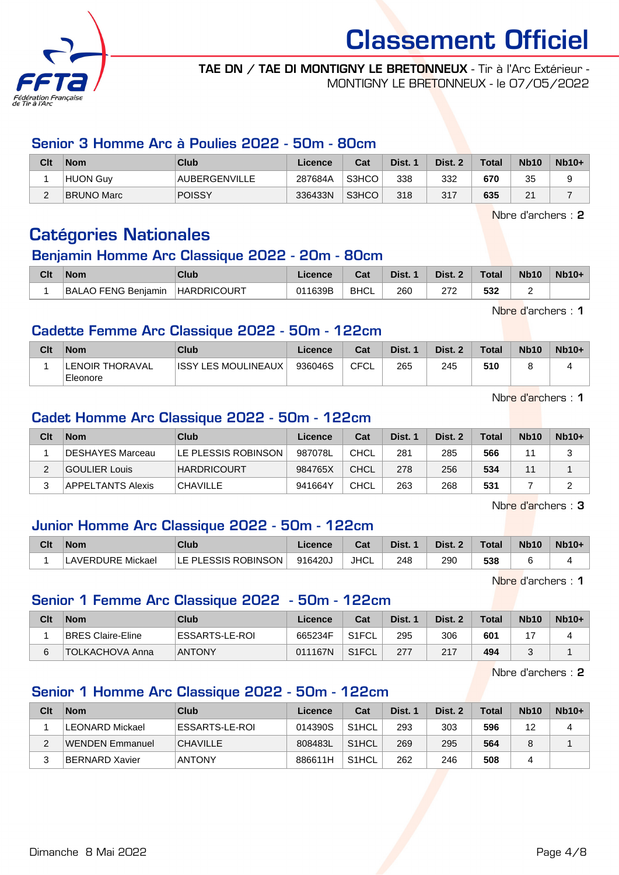

#### TAE DN / TAE DI MONTIGNY LE BRETONNEUX - Tir à l'Arc Extérieur - MONTIGNY LE BRETONNEUX - le 07/05/2022

#### Senior 3 Homme Arc à Poulies 2022 - 50m - 80cm

| Clt      | <b>Nom</b>        | Club          | Licence | Cat   | Dist. | Dist. 2 | <b>Total</b> | <b>Nb10</b> | $Nb10+$ |
|----------|-------------------|---------------|---------|-------|-------|---------|--------------|-------------|---------|
|          | HUON Guv          | AUBERGENVILLE | 287684A | S3HCO | 338   | 332     | 670          | 35          |         |
| $\Omega$ | <b>BRUNO Marc</b> | <b>POISSY</b> | 336433N | S3HCO | 318   | 317     | 635          | 21          |         |

Nbre d'archers : 2

## Catégories Nationales

#### Benjamin Homme Arc Classique 2022 - 20m - 80cm

| Clt | <b>Nom</b>                 | Club               | Licence | ن م<br>⊍dl  | Dist. | Dist. 2 | <b>Total</b> | <b>Nb10</b> | $Nb10+$ |
|-----|----------------------------|--------------------|---------|-------------|-------|---------|--------------|-------------|---------|
|     | <b>BALAO FENG Benjamin</b> | <b>HARDRICOURT</b> | 011639B | <b>BHCL</b> | 260   | 272     | 532          |             |         |

Nbre d'archers : 1

#### Cadette Femme Arc Classique 2022 - 50m - 122cm

| Clt | <b>Nom</b>                  | <b>Club</b>          | Licence | Cat         | Dist. 1 | Dist. 2 | <b>Total</b> | <b>Nb10</b> | $Nb10+$ |
|-----|-----------------------------|----------------------|---------|-------------|---------|---------|--------------|-------------|---------|
|     | LENOIR THORAVAL<br>Eleonore | IISSY LES MOULINEAUX | 936046S | <b>CFCL</b> | 265     | 245     | 510          |             |         |

Nbre d'archers : 1

#### Cadet Homme Arc Classique 2022 - 50m - 122cm

| Clt | <b>Nom</b>               | Club                | Licence | Cat         | Dist. 1 | Dist. 2 | Total | <b>Nb10</b>    | $Nb10+$ |
|-----|--------------------------|---------------------|---------|-------------|---------|---------|-------|----------------|---------|
|     | DESHAYES Marceau         | LE PLESSIS ROBINSON | 987078L | CHCL        | 281     | 285     | 566   | 44             |         |
|     | GOULIER Louis            | <b>HARDRICOURT</b>  | 984765X | CHCL        | 278     | 256     | 534   | $\overline{1}$ |         |
| っ   | <b>APPELTANTS Alexis</b> | <b>CHAVILLE</b>     | 941664Y | <b>CHCL</b> | 263     | 268     | 531   |                |         |

Nbre d'archers : 3

#### Junior Homme Arc Classique 2022 - 50m - 122cm

| Clt | <b>Nom</b>        | Club                |         | <b>Both</b><br>⊌α | Dist. | Dist. 2 | Total | <b>Nb10</b> | $Nb10+$ |
|-----|-------------------|---------------------|---------|-------------------|-------|---------|-------|-------------|---------|
|     | LAVERDURE Mickael | LE PLESSIS ROBINSON | 916420J | <b>JHCL</b>       | 248   | 290     | 538   |             |         |

Nbre d'archers : 1

#### Senior 1 Femme Arc Classique 2022 - 50m - 122cm

| Clt | <b>Nom</b>               | Club           | Licence | Cat                | Dist. 1 | Dist. 2 | <b>Total</b> | <b>Nb10</b> | $Nb10+$ |
|-----|--------------------------|----------------|---------|--------------------|---------|---------|--------------|-------------|---------|
|     | <b>BRES Claire-Eline</b> | ESSARTS-LE-ROI | 665234F | S1FCL              | 295     | 306     | 601          |             |         |
|     | <b>TOLKACHOVA Anna</b>   | <b>ANTONY</b>  | 011167N | S <sub>1</sub> FCL | 277     | 217     | 494          |             |         |

Nbre d'archers : 2

#### Senior 1 Homme Arc Classique 2022 - 50m - 122cm

| Clt | <b>Nom</b>            | Club            | Licence | Cat                | Dist. 1 | Dist. 2 | Total | <b>Nb10</b> | $Nb10+$ |
|-----|-----------------------|-----------------|---------|--------------------|---------|---------|-------|-------------|---------|
|     | LEONARD Mickael       | ESSARTS-LE-ROI  | 014390S | S <sub>1</sub> HCL | 293     | 303     | 596   | 12          | 4       |
|     | WENDEN Emmanuel       | <b>CHAVILLE</b> | 808483L | S <sub>1</sub> HCL | 269     | 295     | 564   |             |         |
|     | <b>BERNARD Xavier</b> | <b>ANTONY</b>   | 886611H | S <sub>1</sub> HCL | 262     | 246     | 508   | 4           |         |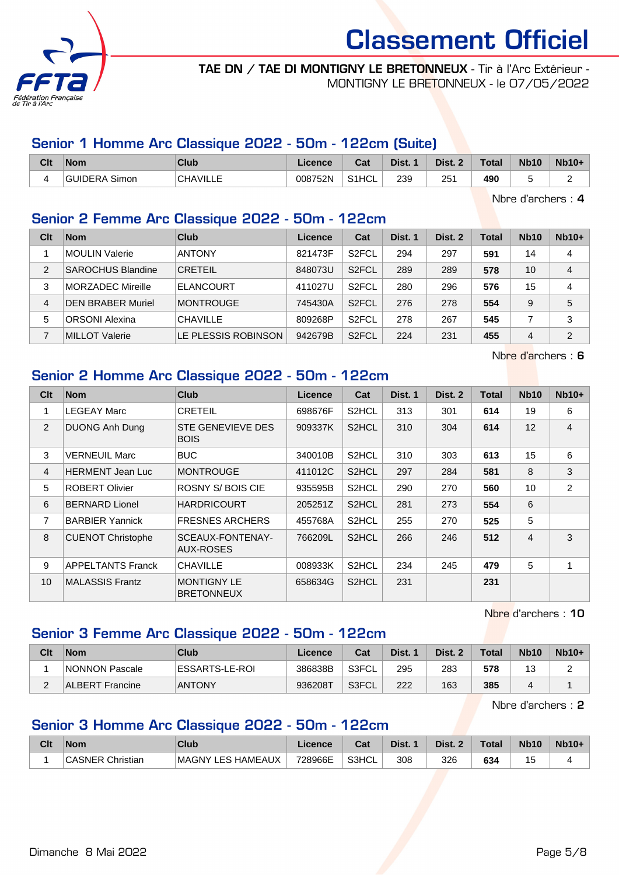

#### TAE DN / TAE DI MONTIGNY LE BRETONNEUX - Tir à l'Arc Extérieur - MONTIGNY LE BRETONNEUX - le 07/05/2022

### Senior 1 Homme Arc Classique 2022 - 50m - 122cm (Suite)

| Clt      | <b>Nom</b>              | Club            | .icence | ◠っィ<br>ખ્વા        | Dist. | Dist.           | <b>Total</b> | <b>Nb10</b> | <b>Nb10+</b> |
|----------|-------------------------|-----------------|---------|--------------------|-------|-----------------|--------------|-------------|--------------|
| $\prime$ | Simon<br><b>GUIDERA</b> | <b>CHAVILLE</b> | 008752N | S <sub>1</sub> HCL | 239   | 25 <sup>′</sup> | 490          |             |              |

Nbre d'archers : 4

#### Senior 2 Femme Arc Classique 2022 - 50m - 122cm

| Clt            | <b>Nom</b>               | Club                | Licence | Cat                | Dist. 1 | Dist. 2 | Total | <b>Nb10</b> | $Nb10+$        |
|----------------|--------------------------|---------------------|---------|--------------------|---------|---------|-------|-------------|----------------|
|                | MOULIN Valerie           | <b>ANTONY</b>       | 821473F | S <sub>2</sub> FCL | 294     | 297     | 591   | 14          | 4              |
| $\mathfrak{p}$ | <b>SAROCHUS Blandine</b> | <b>CRETEIL</b>      | 848073U | S <sub>2</sub> FCL | 289     | 289     | 578   | 10          | 4              |
| 3              | MORZADEC Mireille        | <b>ELANCOURT</b>    | 411027U | S <sub>2</sub> FCL | 280     | 296     | 576   | 15          | $\overline{4}$ |
| 4              | <b>DEN BRABER Muriel</b> | <b>MONTROUGE</b>    | 745430A | S <sub>2</sub> FCL | 276     | 278     | 554   | 9           | 5              |
| 5              | <b>ORSONI Alexina</b>    | <b>CHAVILLE</b>     | 809268P | S <sub>2</sub> FCL | 278     | 267     | 545   |             | 3              |
|                | <b>MILLOT Valerie</b>    | LE PLESSIS ROBINSON | 942679B | S <sub>2</sub> FCL | 224     | 231     | 455   | 4           | $\overline{2}$ |

Nbre d'archers : 6

### Senior 2 Homme Arc Classique 2022 - 50m - 122cm

| Clt            | <b>Nom</b>               | <b>Club</b>                             | Licence | Cat                | Dist. 1 | Dist. 2 | <b>Total</b> | <b>Nb10</b> | $Nb10+$        |
|----------------|--------------------------|-----------------------------------------|---------|--------------------|---------|---------|--------------|-------------|----------------|
| 1              | <b>LEGEAY Marc</b>       | <b>CRETEIL</b>                          | 698676F | S <sub>2</sub> HCL | 313     | 301     | 614          | 19          | 6              |
| 2              | <b>DUONG Anh Dung</b>    | STE GENEVIEVE DES<br><b>BOIS</b>        | 909337K | S <sub>2</sub> HCL | 310     | 304     | 614          | 12          | $\overline{4}$ |
| 3              | <b>VERNEUIL Marc</b>     | <b>BUC</b>                              | 340010B | S <sub>2</sub> HCL | 310     | 303     | 613          | 15          | 6              |
| $\overline{4}$ | <b>HERMENT Jean Luc</b>  | <b>MONTROUGE</b>                        | 411012C | S <sub>2</sub> HCL | 297     | 284     | 581          | 8           | 3              |
| 5              | <b>ROBERT Olivier</b>    | <b>ROSNY S/BOIS CIE</b>                 | 935595B | S <sub>2</sub> HCL | 290     | 270     | 560          | 10          | $\overline{2}$ |
| 6              | <b>BERNARD Lionel</b>    | <b>HARDRICOURT</b>                      | 205251Z | S <sub>2</sub> HCL | 281     | 273     | 554          | 6           |                |
| $\overline{7}$ | <b>BARBIER Yannick</b>   | <b>FRESNES ARCHERS</b>                  | 455768A | S <sub>2</sub> HCL | 255     | 270     | 525          | 5           |                |
| 8              | <b>CUENOT Christophe</b> | SCEAUX-FONTENAY-<br>AUX-ROSES           | 766209L | S <sub>2</sub> HCL | 266     | 246     | 512          | 4           | 3              |
| 9              | <b>APPELTANTS Franck</b> | <b>CHAVILLE</b>                         | 008933K | S <sub>2</sub> HCL | 234     | 245     | 479          | 5           | 1              |
| 10             | <b>MALASSIS Frantz</b>   | <b>MONTIGNY LE</b><br><b>BRETONNEUX</b> | 658634G | S <sub>2</sub> HCL | 231     |         | 231          |             |                |

Nbre d'archers : 10

### Senior 3 Femme Arc Classique 2022 - 50m - 122cm

| Clt | <b>Nom</b>             | Club           | Licence | Cat   | Dist. 1 | Dist. 2 | <b>Total</b> | <b>Nb10</b> | $Nb10+$ |
|-----|------------------------|----------------|---------|-------|---------|---------|--------------|-------------|---------|
|     | NONNON Pascale         | ESSARTS-LE-ROI | 386838B | S3FCL | 295     | 283     | 578          | J           |         |
| -   | <b>ALBERT Francine</b> | <b>ANTONY</b>  | 936208T | S3FCL | 222     | 163     | 385          |             |         |

Nbre d'archers : 2

#### Senior 3 Homme Arc Classique 2022 - 50m - 122cm

| Clt | <b>Nom</b>                       | Club                    | Licence | <b>Dol</b><br>ual | Dist. | Dist. | <b>Total</b> | <b>Nb10</b> | $Nb10+$ |
|-----|----------------------------------|-------------------------|---------|-------------------|-------|-------|--------------|-------------|---------|
|     | <b><i>ISNER</i></b><br>Christian | Y LES HAMEAUX<br>⊩MAGNY | 728966E | S3HCL             | 308   | 326   | 634          | <br>ັ       |         |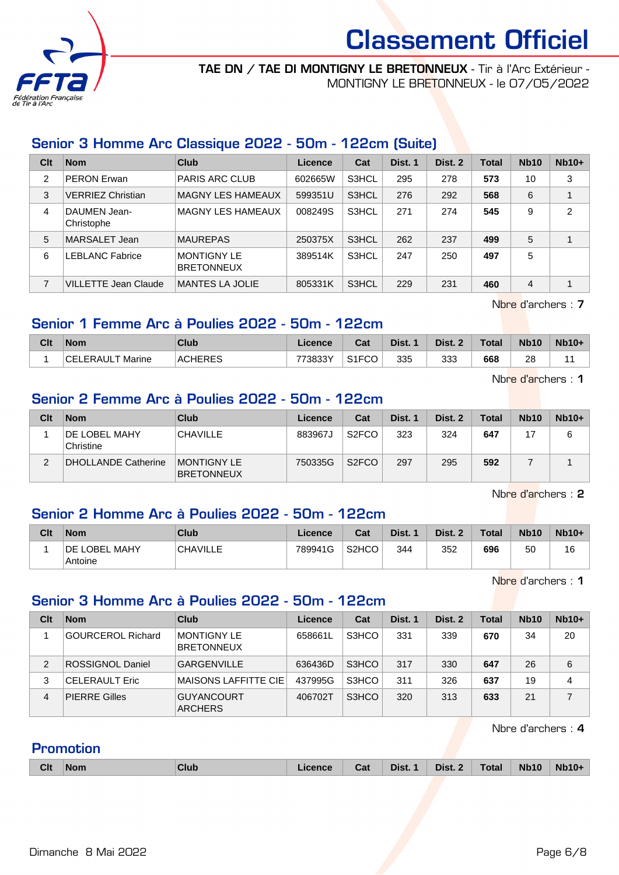

#### TAE DN / TAE DI MONTIGNY LE BRETONNEUX - Tir à l'Arc Extérieur - MONTIGNY LE BRETONNEUX - le 07/05/2022

#### Senior 3 Homme Arc Classique 2022 - 50m - 122cm (Suite)

| Clt | <b>Nom</b>                  | Club                                    | Licence | Cat   | Dist. 1 | Dist. 2 | Total | <b>Nb10</b> | $Nb10+$        |
|-----|-----------------------------|-----------------------------------------|---------|-------|---------|---------|-------|-------------|----------------|
| 2   | <b>PERON Erwan</b>          | <b>PARIS ARC CLUB</b>                   | 602665W | S3HCL | 295     | 278     | 573   | 10          | 3              |
| 3   | <b>VERRIEZ Christian</b>    | MAGNY LES HAMEAUX                       | 599351U | S3HCL | 276     | 292     | 568   | 6           |                |
| 4   | DAUMEN Jean-<br>Christophe  | MAGNY LES HAMEAUX                       | 008249S | S3HCL | 271     | 274     | 545   | 9           | $\overline{2}$ |
| 5   | MARSALET Jean               | <b>MAUREPAS</b>                         | 250375X | S3HCL | 262     | 237     | 499   | 5           |                |
| 6   | <b>LEBLANC Fabrice</b>      | <b>MONTIGNY LE</b><br><b>BRETONNEUX</b> | 389514K | S3HCL | 247     | 250     | 497   | 5           |                |
| 7   | <b>VILLETTE Jean Claude</b> | <b>MANTES LA JOLIE</b>                  | 805331K | S3HCL | 229     | 231     | 460   | 4           |                |

Nbre d'archers : 7

#### Senior 1 Femme Arc à Poulies 2022 - 50m - 122cm

| Clt | <b>Nom</b>              | Club           | ∟icence | Cat                         | Dist. | Dist. 2 | <b>Total</b> | <b>Nb10</b> | $Nb10+$ |
|-----|-------------------------|----------------|---------|-----------------------------|-------|---------|--------------|-------------|---------|
|     | <b>CELERAULT Marine</b> | <b>ACHERES</b> | 773833Y | S <sub>1</sub> FCO<br>ا ا ت | 335   | 333     | 668          | 28          |         |

Nbre d'archers : 1

#### Senior 2 Femme Arc à Poulies 2022 - 50m - 122cm

| Clt | <b>Nom</b>                        | Club                                     | Licence | Cat                | Dist. 1 | Dist. 2 | <b>Total</b> | <b>Nb10</b> | $Nb10+$ |
|-----|-----------------------------------|------------------------------------------|---------|--------------------|---------|---------|--------------|-------------|---------|
|     | <b>DE LOBEL MAHY</b><br>Christine | <b>CHAVILLE</b>                          | 883967J | S <sub>2</sub> FCO | 323     | 324     | 647          |             |         |
|     | DHOLLANDE Catherine               | <b>IMONTIGNY LE</b><br><b>BRETONNEUX</b> | 750335G | S <sub>2</sub> FCO | 297     | 295     | 592          |             |         |

Nbre d'archers : 2

#### Senior 2 Homme Arc à Poulies 2022 - 50m - 122cm

| Clt | <b>Nom</b>                      | <b>Club</b>     | Licence | Cat                | Dist. | Dist. 2 | <b>Total</b> | <b>Nb10</b> | $Nb10+$ |
|-----|---------------------------------|-----------------|---------|--------------------|-------|---------|--------------|-------------|---------|
|     | <b>DE LOBEL MAHY</b><br>Antoine | <b>CHAVILLE</b> | 789941G | S <sub>2</sub> HCO | 344   | 352     | 696          | 50          | 16      |

Nbre d'archers : 1

#### Senior 3 Homme Arc à Poulies 2022 - 50m - 122cm

| Clt | <b>Nom</b>               | Club                                | Licence | Cat   | Dist. 1 | Dist. 2 | Total | <b>Nb10</b> | $Nb10+$ |
|-----|--------------------------|-------------------------------------|---------|-------|---------|---------|-------|-------------|---------|
|     | <b>GOURCEROL Richard</b> | MONTIGNY LE<br><b>BRETONNEUX</b>    | 658661L | S3HCO | 331     | 339     | 670   | 34          | 20      |
| 2   | <b>ROSSIGNOL Daniel</b>  | <b>GARGENVILLE</b>                  | 636436D | S3HCO | 317     | 330     | 647   | 26          | 6       |
| 3   | <b>CELERAULT Eric</b>    | <b>MAISONS LAFFITTE CIE</b>         | 437995G | S3HCO | 311     | 326     | 637   | 19          | 4       |
| 4   | <b>PIERRE Gilles</b>     | <b>GUYANCOURT</b><br><b>ARCHERS</b> | 406702T | S3HCO | 320     | 313     | 633   | 21          | 7       |

Nbre d'archers : 4

**Promotion** 

| <b>Clt</b> | Nom | Club | Licence | Cat | <b>Dist. 1</b> | Dist. 2 $\parallel$ | Total | <b>Nb10</b> | $Nb10+$ |
|------------|-----|------|---------|-----|----------------|---------------------|-------|-------------|---------|
|            |     |      |         |     |                |                     |       |             |         |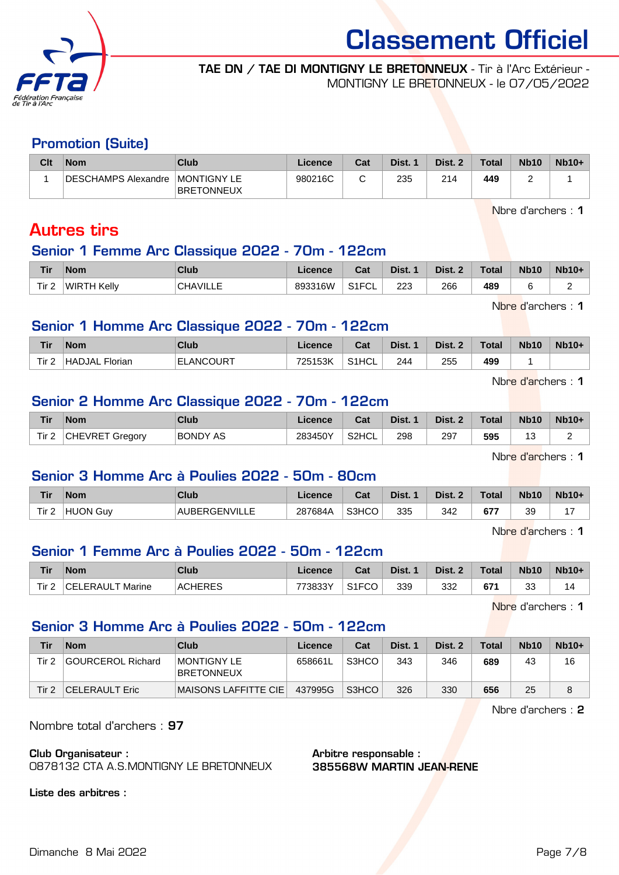

#### TAE DN / TAE DI MONTIGNY LE BRETONNEUX - Tir à l'Arc Extérieur - MONTIGNY LE BRETONNEUX - le 07/05/2022

#### Promotion (Suite)

| Clt | <b>Nom</b>          | Club                             | Licence | Cat | Dist. | Dist. 2 | <b>Total</b> | <b>Nb10</b> | $Nb10+$ |
|-----|---------------------|----------------------------------|---------|-----|-------|---------|--------------|-------------|---------|
|     | DESCHAMPS Alexandre | MONTIGNY LE<br><b>BRETONNEUX</b> | 980216C |     | 235   | 214     | 449          | -           |         |

Nbre d'archers : 1

## Autres tirs

#### Senior 1 Femme Arc Classique 2022 - 70m - 122cm

| Tir   | <b>Nom</b>  | Club                           | icance  | ◠fi<br>vaı   | Dist. | <b>Dist</b> | <b>Total</b> | <b>Nb10</b> | Nh10<br>.0+ |
|-------|-------------|--------------------------------|---------|--------------|-------|-------------|--------------|-------------|-------------|
| Tir 2 | WIRTH Kellv | $\lambda \overline{1111}$<br>ົ | 893316W | 0.1501<br>◡∟ | 223   | 266<br>__   | 489          |             |             |

Nbre d'archers : 1

#### Senior 1 Homme Arc Classique 2022 - 70m - 122cm

| Tir       | <b>Nom</b>               | <b>Club</b>       | <b>Licence</b> | Cat                | Dist. | Dist. | <b>Total</b> | <b>Nb10</b> | $Nb10+$ |
|-----------|--------------------------|-------------------|----------------|--------------------|-------|-------|--------------|-------------|---------|
| Tir.<br>- | <b>HADJAL</b><br>Florian | <b>IELANCOURT</b> | 725153K        | S <sub>1</sub> HCL | 244   | 255   | 499          |             |         |

Nbre d'archers : 1

#### Senior 2 Homme Arc Classique 2022 - 70m - 122cm

| Tir                          | <b>Nom</b>                | Club            | .icence | ∩^∗<br>⊍d | Dist. | Dist. | <b>Total</b> | <b>Nb10</b>                   | $Nb10+$ |
|------------------------------|---------------------------|-----------------|---------|-----------|-------|-------|--------------|-------------------------------|---------|
| Tir <sub>2</sub><br><u>.</u> | <b>CHEVRET</b><br>Gregory | <b>BONDY AS</b> | 283450Y | S2HCL     | 298   | 297   | 595          | $\overline{\phantom{a}}$<br>J |         |
|                              |                           |                 |         |           |       |       |              |                               |         |

Nbre d'archers : 1

#### Senior 3 Homme Arc à Poulies 2022 - 50m - 80cm

| Tir              | <b>Nom</b> | Club         | <b>Licence</b> | Cat   | Dist. | Dist. 2 | <b>Total</b> | <b>Nb10</b> | $Nb10+$ |
|------------------|------------|--------------|----------------|-------|-------|---------|--------------|-------------|---------|
| Tir <sub>2</sub> | HUON Guy   | AUBERGENVILL | 287684A        | S3HCO | 335   | 342     | c77<br>O 7.  | 39          |         |

Nhre d'archers : 1

### Senior 1 Femme Arc à Poulies 2022 - 50m - 122cm

| <b>Tir</b>       | <b>Nom</b>                            | Club           | Licence | Cat                                 | Dist. | Dist. | <b>Total</b> | <b>Nb10</b> | <b>Nb10+</b> |
|------------------|---------------------------------------|----------------|---------|-------------------------------------|-------|-------|--------------|-------------|--------------|
| Tir <sub>2</sub> | ∩FL.<br>T Marine<br><b>FRAI</b><br>H. | <b>ACHERES</b> | 773833Y | $\sim$ $\sim$ $\sim$<br>ັບ∪<br>۱۱ ت | 339   | 332   | 671          | ົດຕ<br>აა   | ٦Δ.          |

Nbre d'archers : 1

#### Senior 3 Homme Arc à Poulies 2022 - 50m - 122cm

| Tir   | <b>Nom</b>        | Club                                    | Licence | Cat   | Dist. 1 | Dist. 2 | <b>Total</b> | <b>Nb10</b> | $Nb10+$ |
|-------|-------------------|-----------------------------------------|---------|-------|---------|---------|--------------|-------------|---------|
| Tir 2 | GOURCEROL Richard | <b>MONTIGNY LE</b><br><b>BRETONNEUX</b> | 658661L | S3HCO | 343     | 346     | 689          | 43          | 16      |
| Tir 2 | CELERAULT Eric    | MAISONS LAFFITTE CIE                    | 437995G | S3HCO | 326     | 330     | 656          | 25          | 8       |

Nbre d'archers : 2

Nombre total d'archers : 97

Club Organisateur :

0878132 CTA A.S.MONTIGNY LE BRETONNEUX

Liste des arbitres :

Arbitre responsable : 385568W MARTIN JEAN-RENE